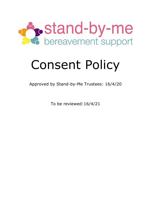

# Consent Policy

Approved by Stand-by-Me Trustees: 16/4/20

To be reviewed:16/4/21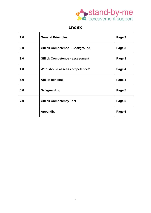

## **Index**

| 1.0 | <b>General Principles</b>              | Page 3 |
|-----|----------------------------------------|--------|
| 2.0 | <b>Gillick Competence - Background</b> | Page 3 |
| 3.0 | <b>Gillick Competence - assessment</b> | Page 3 |
| 4.0 | Who should assess competence?          | Page 4 |
| 5.0 | Age of consent                         | Page 4 |
| 6.0 | <b>Safeguarding</b>                    | Page 5 |
| 7.0 | <b>Gillick Competency Test</b>         | Page 5 |
|     | <b>Appendix</b>                        | Page 6 |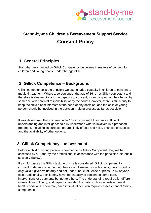

# **Stand-by-me Children's Bereavement Support Service Consent Policy**

#### **1. General Principles**

Stand-by-me is guided by Gillick Competency guidelines in matters of consent for children and young people under the age of 18

#### **2. Gillick Competence – Background**

Gillick competence is the principle we use to judge capacity in children to consent to medical treatment. Where a person under the age of 16 is not Gillick competent and therefore is deemed to lack the capacity to consent, it can be given on their behalf by someone with parental responsibility or by the court. However, there is still a duty to keep the child's best interests at the heart of any decision, and the child or young person should be involved in the decision-making process as far as possible.

It was determined that children under 16 can consent if they have sufficient understanding and intelligence to fully understand what is involved in a proposed treatment, including its purpose, nature, likely effects and risks, chances of success and the availability of other options.

#### **3. Gillick Competency – assessment**

Before a child or young person is deemed to be Gillick Competent, they will be assessed by a Stand-by-me professional in accordance with the principles laid out in section 7 (below).

If a child passes the Gillick test, he or she is considered 'Gillick competent' to consent to decisions concerning their care. However, as with adults, this consent is only valid if given voluntarily and not under undue influence or pressure by anyone else. Additionally, a child may have the capacity to consent to some care, interventions or treatments but not to others. The understanding required for different interventions will vary, and capacity can also fluctuate such as in certain mental health conditions. Therefore, each individual decision requires assessment of Gillick competence.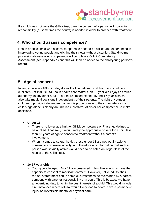

If a child does not pass the Gillick test, then the consent of a person with parental responsibility (or sometimes the courts) is needed in order to proceed with treatment.

#### **4. Who should assess competence?**

Health professionals who assess competence need to be skilled and experienced in interviewing young people and eliciting their views without distortion. Stand-by-me professionals assessing competency will complete a Gillick Competency Assessment (see Appendix 1) and this will then be added to the child/young person's record.

#### **5. Age of consent**

In law, a person's 18th birthday draws the line between childhood and adulthood (Children Act 1989 s105) - so in health care matters, an 18-year-old enjoys as much autonomy as any other adult. To a more limited extent, 16 and 17-year-olds can also take medical decisions independently of their parents. The right of younger children to provide independent consent is proportionate to their competence - a child's age alone is clearly an unreliable predictor of his or her competence to make decisions.

- **Under 13**
	- There is no lower age limit for Gillick competence or Fraser guidelines to be applied. That said, it would rarely be appropriate or safe for a child less than 13 years of age to consent to treatment without a parent's involvement.
	- When it comes to sexual health, those under 13 are not legally able to consent to any sexual activity, and therefore any information that such a person was sexually active would need to be acted on, regardless of the results of the Gillick test.
- **16-17-year olds**
	- Young people aged 16 or 17 are presumed in law, like adults, to have the capacity to consent to medical treatment. However, unlike adults, their refusal of treatment can in some circumstances be overridden by a parent, someone with parental responsibility or a court. This is because we have an overriding duty to act in the best interests of a child. This would include circumstances where refusal would likely lead to death, severe permanent injury or irreversible mental or physical harm.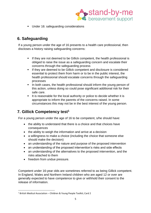

■ Under 16: safeguarding considerations

### **6. Safeguarding**

If a young person under the age of 16 presents to a health care professional, then discloses a history raising safeguarding concerns:

- **EXECT** If they are not deemed to be Gillick competent, the health professional is obliged to raise the issue as a safeguarding concern and escalate their concerns through the safeguarding process
- **EXECT** If they are deemed to be Gillick competent and disclosure is considered essential to protect them from harm or to be in the public interest, the health professional should escalate concerns through the safeguarding processes
- In both cases, the health professional should inform the young person of this action, unless doing so could pose significant additional risk for their safe care.
- It is reasonable for the local authority or police to decide whether it is appropriate to inform the parents of the concerns raised. In some circumstances this may not be in the best interest of the young person.

#### **7. Gillick Competency test<sup>1</sup>**

For a young person under the age of 16 to be competent, s/he should have:

- the ability to understand that there is a choice and that choices have consequences
- the ability to weigh the information and arrive at a decision
- a willingness to make a choice (including the choice that someone else should make the decision)
- an understanding of the nature and purpose of the proposed intervention
- an understanding of the proposed intervention's risks and side effects
- an understanding of the alternatives to the proposed intervention, and the risks attached to them
- freedom from undue pressure.

Competent under 16-year olds are sometimes referred to as being Gillick competent. In England, Wales and Northern Ireland children who are aged 12 or over are generally expected to have competence to give or withhold their consent to the release of information.

<sup>1</sup> British Medical Association – Children & Young People Toolkit; Card 2